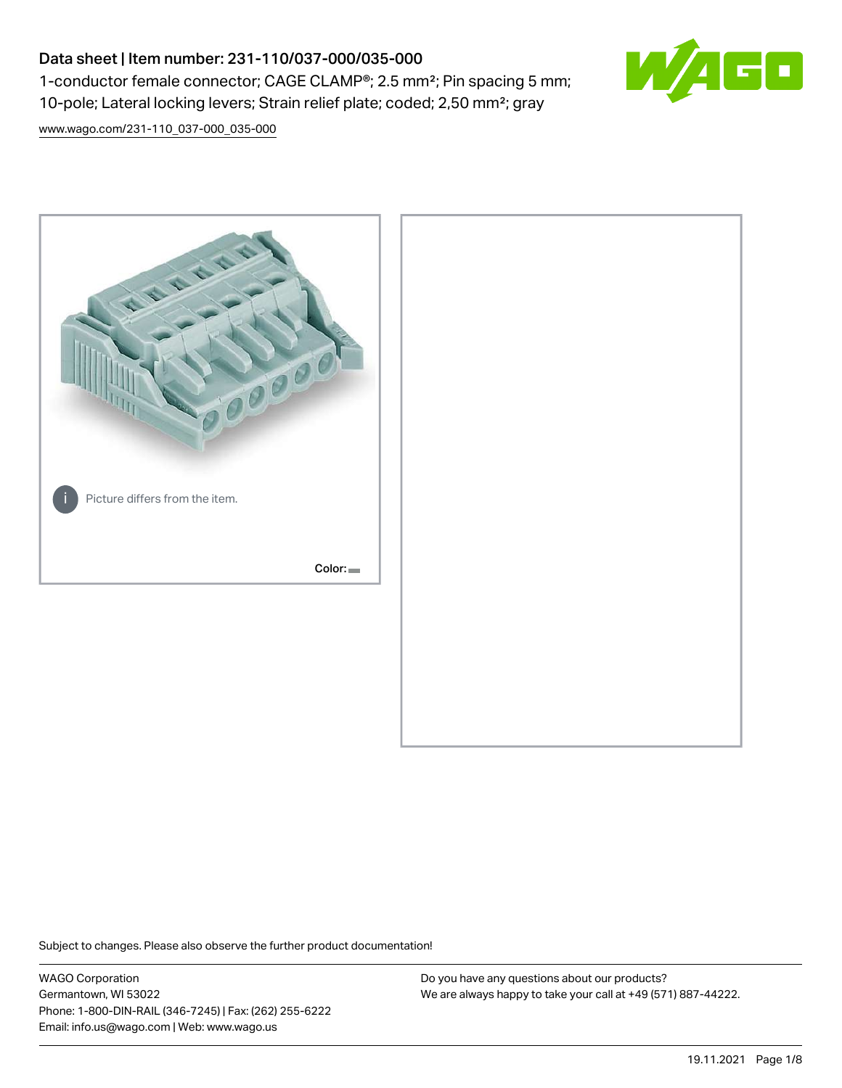# Data sheet | Item number: 231-110/037-000/035-000 1-conductor female connector; CAGE CLAMP®; 2.5 mm²; Pin spacing 5 mm; 10-pole; Lateral locking levers; Strain relief plate; coded; 2,50 mm²; gray



[www.wago.com/231-110\\_037-000\\_035-000](http://www.wago.com/231-110_037-000_035-000)



Subject to changes. Please also observe the further product documentation!

WAGO Corporation Germantown, WI 53022 Phone: 1-800-DIN-RAIL (346-7245) | Fax: (262) 255-6222 Email: info.us@wago.com | Web: www.wago.us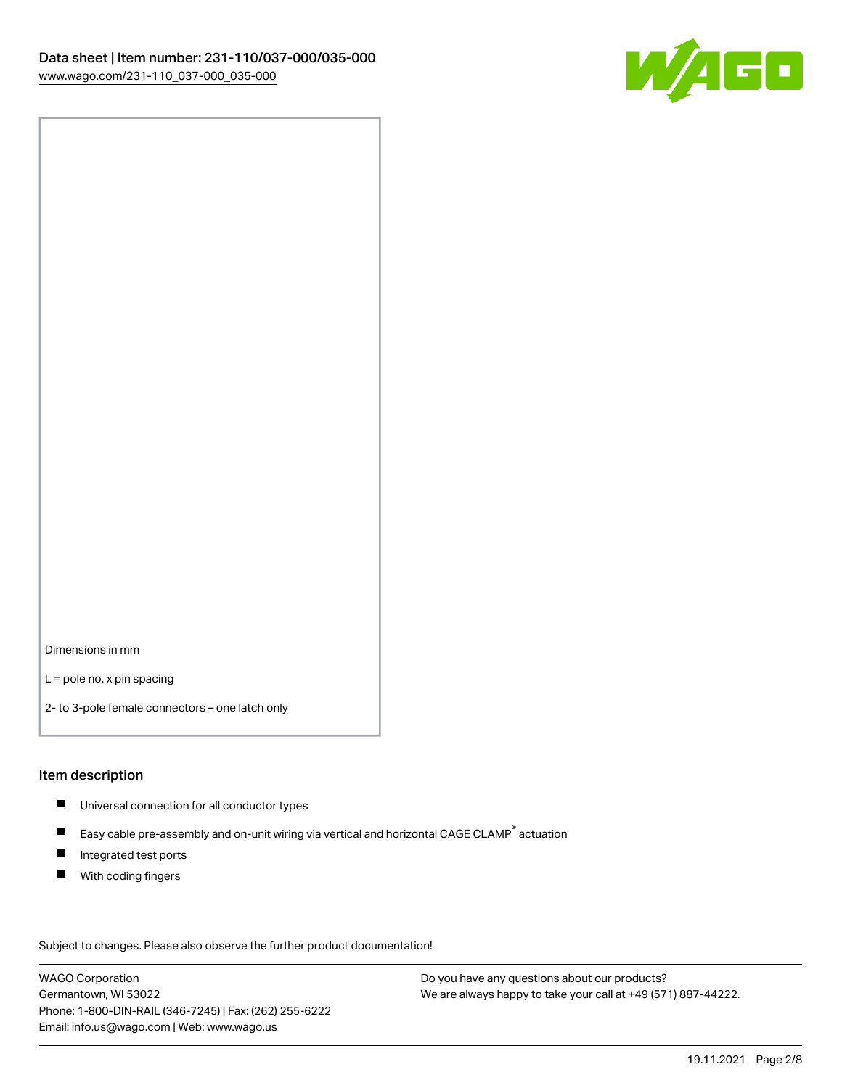

Dimensions in mm

L = pole no. x pin spacing

2- to 3-pole female connectors – one latch only

#### Item description

- **Universal connection for all conductor types**
- Easy cable pre-assembly and on-unit wiring via vertical and horizontal CAGE CLAMP<sup>®</sup> actuation  $\blacksquare$
- $\blacksquare$ Integrated test ports
- $\blacksquare$ With coding fingers

Subject to changes. Please also observe the further product documentation! Data

WAGO Corporation Germantown, WI 53022 Phone: 1-800-DIN-RAIL (346-7245) | Fax: (262) 255-6222 Email: info.us@wago.com | Web: www.wago.us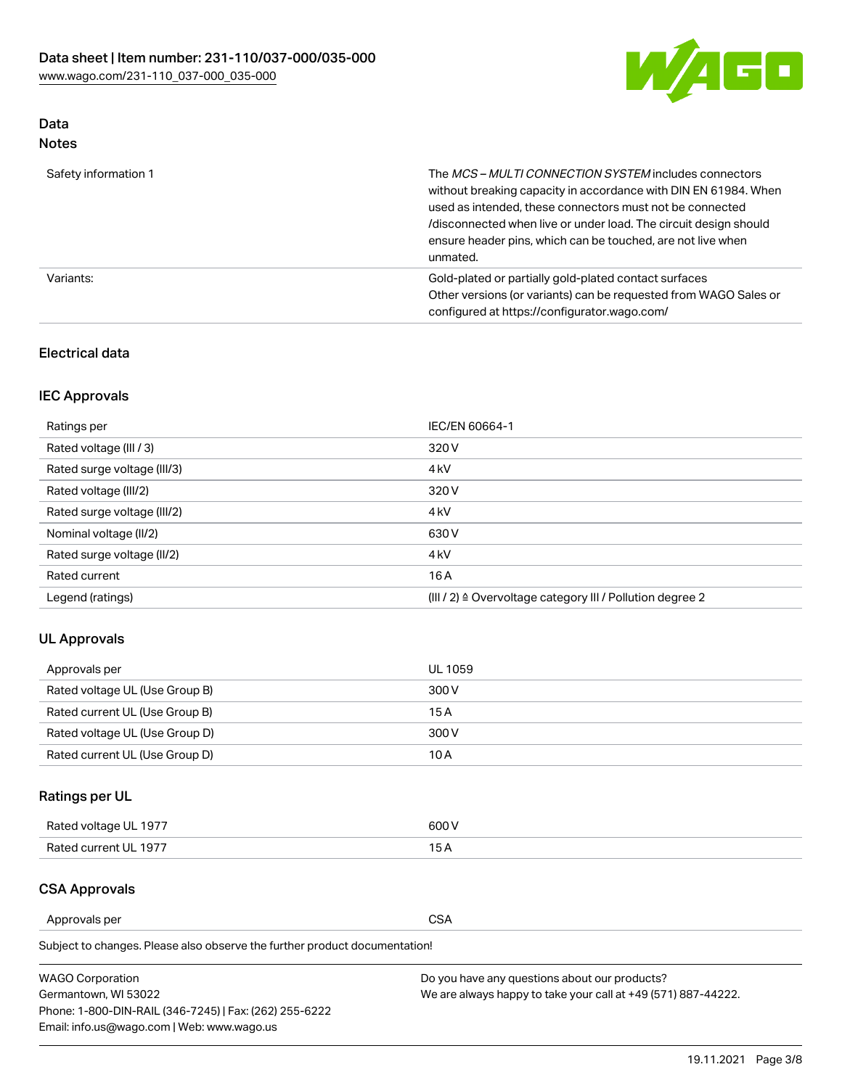

# Data

| Note |
|------|
|------|

| Safety information 1 | The MCS-MULTI CONNECTION SYSTEM includes connectors<br>without breaking capacity in accordance with DIN EN 61984. When<br>used as intended, these connectors must not be connected<br>/disconnected when live or under load. The circuit design should<br>ensure header pins, which can be touched, are not live when<br>unmated. |
|----------------------|-----------------------------------------------------------------------------------------------------------------------------------------------------------------------------------------------------------------------------------------------------------------------------------------------------------------------------------|
| Variants:            | Gold-plated or partially gold-plated contact surfaces<br>Other versions (or variants) can be requested from WAGO Sales or<br>configured at https://configurator.wago.com/                                                                                                                                                         |

## Electrical data

# IEC Approvals

| Ratings per                 | IEC/EN 60664-1                                                        |
|-----------------------------|-----------------------------------------------------------------------|
| Rated voltage (III / 3)     | 320 V                                                                 |
| Rated surge voltage (III/3) | 4 <sub>k</sub> V                                                      |
| Rated voltage (III/2)       | 320 V                                                                 |
| Rated surge voltage (III/2) | 4 <sub>k</sub> V                                                      |
| Nominal voltage (II/2)      | 630 V                                                                 |
| Rated surge voltage (II/2)  | 4 <sub>k</sub> V                                                      |
| Rated current               | 16A                                                                   |
| Legend (ratings)            | $(III / 2)$ $\triangle$ Overvoltage category III / Pollution degree 2 |

## UL Approvals

| Approvals per                  | UL 1059 |
|--------------------------------|---------|
| Rated voltage UL (Use Group B) | 300 V   |
| Rated current UL (Use Group B) | 15 A    |
| Rated voltage UL (Use Group D) | 300 V   |
| Rated current UL (Use Group D) | 10 A    |

# Ratings per UL

| Rated voltage UL 1977 | 300 V |
|-----------------------|-------|
| Rated current UL 1977 |       |

## CSA Approvals

Approvals per CSA

Subject to changes. Please also observe the further product documentation!

| <b>WAGO Corporation</b>                                | Do you have any questions about our products?                 |
|--------------------------------------------------------|---------------------------------------------------------------|
| Germantown, WI 53022                                   | We are always happy to take your call at +49 (571) 887-44222. |
| Phone: 1-800-DIN-RAIL (346-7245)   Fax: (262) 255-6222 |                                                               |
| Email: info.us@wago.com   Web: www.wago.us             |                                                               |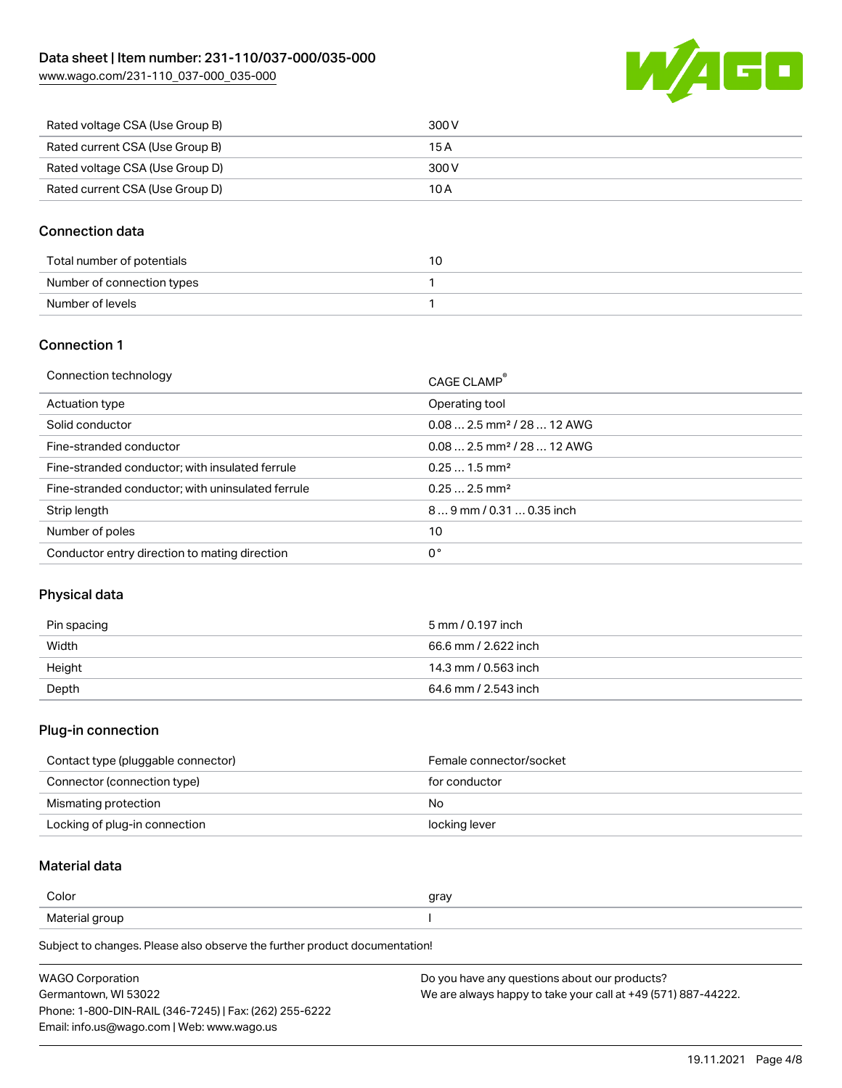

| Rated voltage CSA (Use Group B) | 300 V |
|---------------------------------|-------|
| Rated current CSA (Use Group B) | 15 A  |
| Rated voltage CSA (Use Group D) | 300 V |
| Rated current CSA (Use Group D) | 10 A  |

#### Connection data

| Total number of potentials |  |
|----------------------------|--|
| Number of connection types |  |
| Number of levels           |  |

#### Connection 1

| Connection technology                             | CAGE CLAMP®                            |
|---------------------------------------------------|----------------------------------------|
| Actuation type                                    | Operating tool                         |
| Solid conductor                                   | $0.082.5$ mm <sup>2</sup> / 28  12 AWG |
| Fine-stranded conductor                           | $0.082.5$ mm <sup>2</sup> / 28  12 AWG |
| Fine-stranded conductor; with insulated ferrule   | $0.251.5$ mm <sup>2</sup>              |
| Fine-stranded conductor; with uninsulated ferrule | $0.252.5$ mm <sup>2</sup>              |
| Strip length                                      | $89$ mm / 0.31  0.35 inch              |
| Number of poles                                   | 10                                     |
| Conductor entry direction to mating direction     | 0°                                     |

#### Physical data

| Pin spacing | 5 mm / 0.197 inch    |
|-------------|----------------------|
| Width       | 66.6 mm / 2.622 inch |
| Height      | 14.3 mm / 0.563 inch |
| Depth       | 64.6 mm / 2.543 inch |

#### Plug-in connection

| Contact type (pluggable connector) | Female connector/socket |
|------------------------------------|-------------------------|
| Connector (connection type)        | for conductor           |
| Mismating protection               | No                      |
| Locking of plug-in connection      | locking lever           |

# Material data

| Color                        | gray |
|------------------------------|------|
| Materia.<br>າເ ແ<br>ושי<br>. |      |

Subject to changes. Please also observe the further product documentation!

| <b>WAGO Corporation</b>                                | Do you have any questions about our products?                 |  |
|--------------------------------------------------------|---------------------------------------------------------------|--|
| Germantown, WI 53022                                   | We are always happy to take your call at +49 (571) 887-44222. |  |
| Phone: 1-800-DIN-RAIL (346-7245)   Fax: (262) 255-6222 |                                                               |  |
| Email: info.us@wago.com   Web: www.wago.us             |                                                               |  |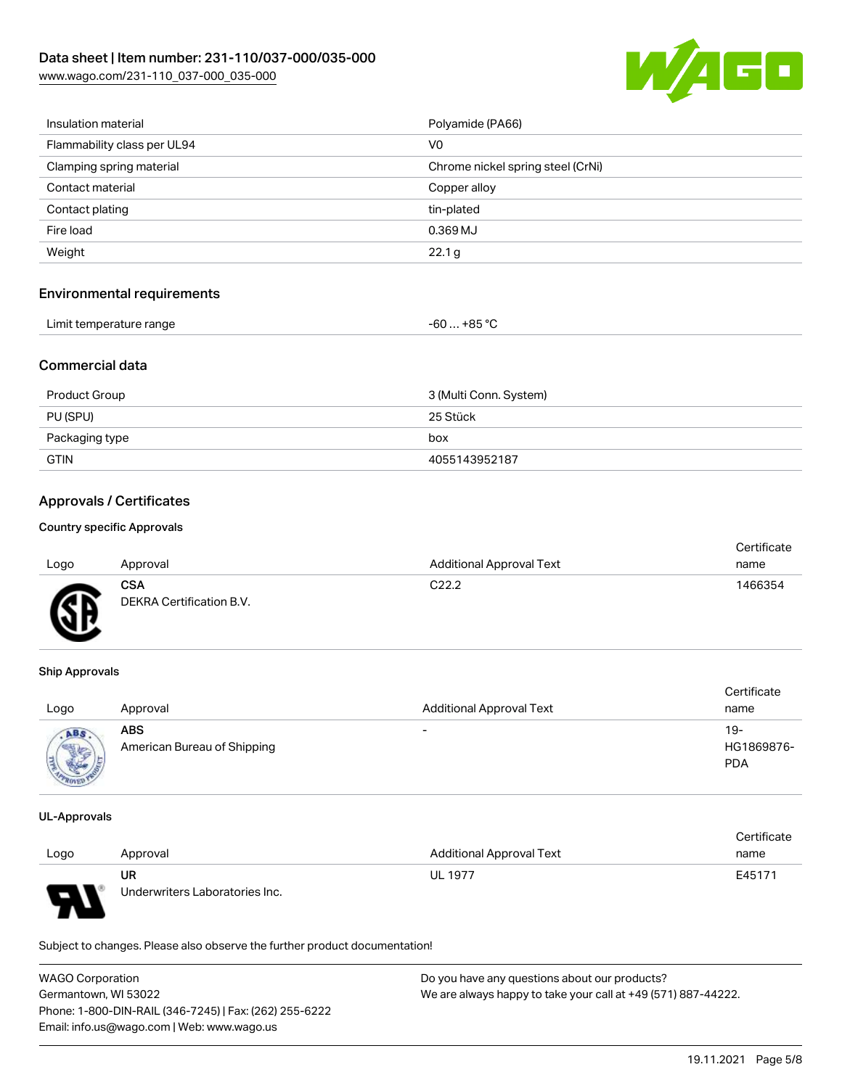

| Insulation material         | Polyamide (PA66)                  |
|-----------------------------|-----------------------------------|
| Flammability class per UL94 | V <sub>0</sub>                    |
| Clamping spring material    | Chrome nickel spring steel (CrNi) |
| Contact material            | Copper alloy                      |
| Contact plating             | tin-plated                        |
| Fire load                   | 0.369 MJ                          |
| Weight                      | 22.1 <sub>g</sub>                 |
|                             |                                   |

#### Environmental requirements

| Limit temperature range<br>−60 … +85 °Ր |
|-----------------------------------------|
|-----------------------------------------|

#### Commercial data

| Product Group  | 3 (Multi Conn. System) |
|----------------|------------------------|
| PU (SPU)       | 25 Stück               |
| Packaging type | box                    |
| GTIN           | 4055143952187          |

## Approvals / Certificates

#### Country specific Approvals

| Logo | Approval                               | <b>Additional Approval Text</b> | Certificate<br>name |
|------|----------------------------------------|---------------------------------|---------------------|
| GF   | <b>CSA</b><br>DEKRA Certification B.V. | C <sub>22.2</sub>               | 1466354             |

#### Ship Approvals

| Logo | Approval                                  | <b>Additional Approval Text</b> | Certificate<br>name             |
|------|-------------------------------------------|---------------------------------|---------------------------------|
| ABS  | <b>ABS</b><br>American Bureau of Shipping | $\overline{\phantom{0}}$        | 19-<br>HG1869876-<br><b>PDA</b> |

#### UL-Approvals

7

|                          |                                |                          | Certificate |
|--------------------------|--------------------------------|--------------------------|-------------|
| Logo                     | Approval                       | Additional Approval Text | name        |
|                          | UR                             | <b>UL 1977</b>           | E45171      |
| $\overline{\phantom{0}}$ | Underwriters Laboratories Inc. |                          |             |

Subject to changes. Please also observe the further product documentation!

| <b>WAGO Corporation</b>                                | Do you have any questions about our products?                 |
|--------------------------------------------------------|---------------------------------------------------------------|
| Germantown, WI 53022                                   | We are always happy to take your call at +49 (571) 887-44222. |
| Phone: 1-800-DIN-RAIL (346-7245)   Fax: (262) 255-6222 |                                                               |
| Email: info.us@wago.com   Web: www.wago.us             |                                                               |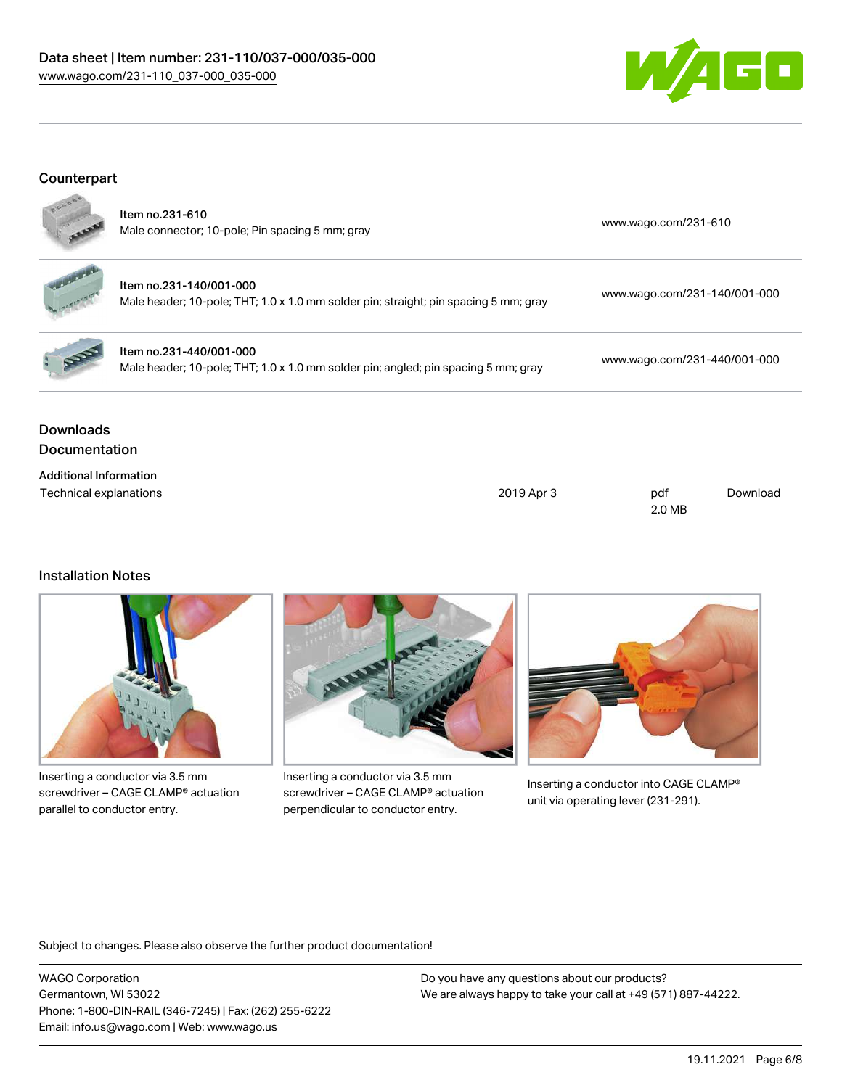#### Data sheet | Item number: 231-110/037-000/035-000 [www.wago.com/231-110\\_037-000\\_035-000](http://www.wago.com/231-110_037-000_035-000)



#### **Counterpart**



| $\mathbf{r}$ | Item no.231-610<br>Male connector; 10-pole; Pin spacing 5 mm; gray |
|--------------|--------------------------------------------------------------------|
|              | <br>. .                                                            |

| - Item no.231-140/001-000                                                            | www.wago.com/231-140/001-000 |
|--------------------------------------------------------------------------------------|------------------------------|
| Male header; 10-pole; THT; 1.0 x 1.0 mm solder pin; straight; pin spacing 5 mm; gray |                              |
|                                                                                      |                              |



Item no.231-440/001-000 Male header; 10-pole; THT; 1.0 x 1.0 mm solder pin; angled; pin spacing 5 mm; gray [www.wago.com/231-440/001-000](https://www.wago.com/231-440/001-000)

[www.wago.com/231-610](https://www.wago.com/231-610)

# Downloads Documentation

| <b>Additional Information</b> |            |        |          |
|-------------------------------|------------|--------|----------|
| Technical explanations        | 2019 Apr 3 | pdf    | Download |
|                               |            | 2.0 MB |          |

## Installation Notes



Inserting a conductor via 3.5 mm screwdriver – CAGE CLAMP® actuation parallel to conductor entry.



Inserting a conductor via 3.5 mm screwdriver – CAGE CLAMP® actuation perpendicular to conductor entry.



Inserting a conductor into CAGE CLAMP® unit via operating lever (231-291).

Subject to changes. Please also observe the further product documentation!

WAGO Corporation Germantown, WI 53022 Phone: 1-800-DIN-RAIL (346-7245) | Fax: (262) 255-6222 Email: info.us@wago.com | Web: www.wago.us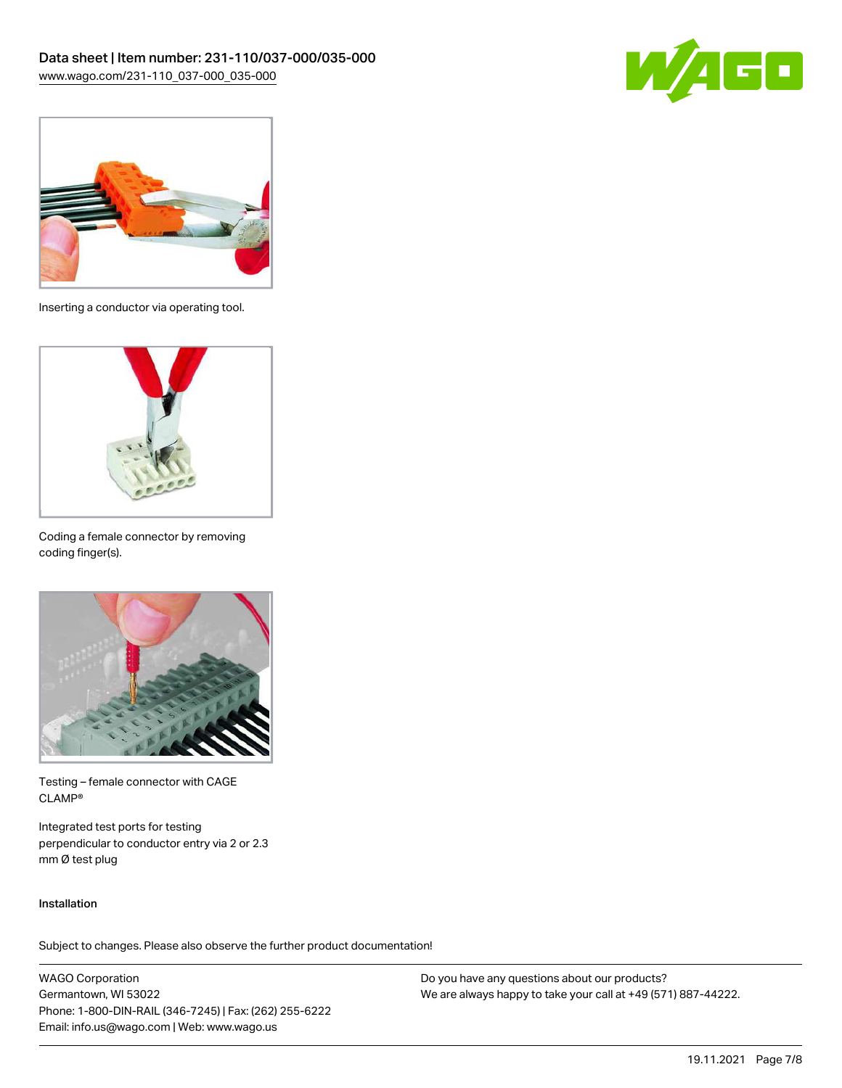



Inserting a conductor via operating tool.



Coding a female connector by removing coding finger(s).



Testing – female connector with CAGE CLAMP®

Integrated test ports for testing perpendicular to conductor entry via 2 or 2.3 mm Ø test plug

#### Installation

Subject to changes. Please also observe the further product documentation!

WAGO Corporation Germantown, WI 53022 Phone: 1-800-DIN-RAIL (346-7245) | Fax: (262) 255-6222 Email: info.us@wago.com | Web: www.wago.us